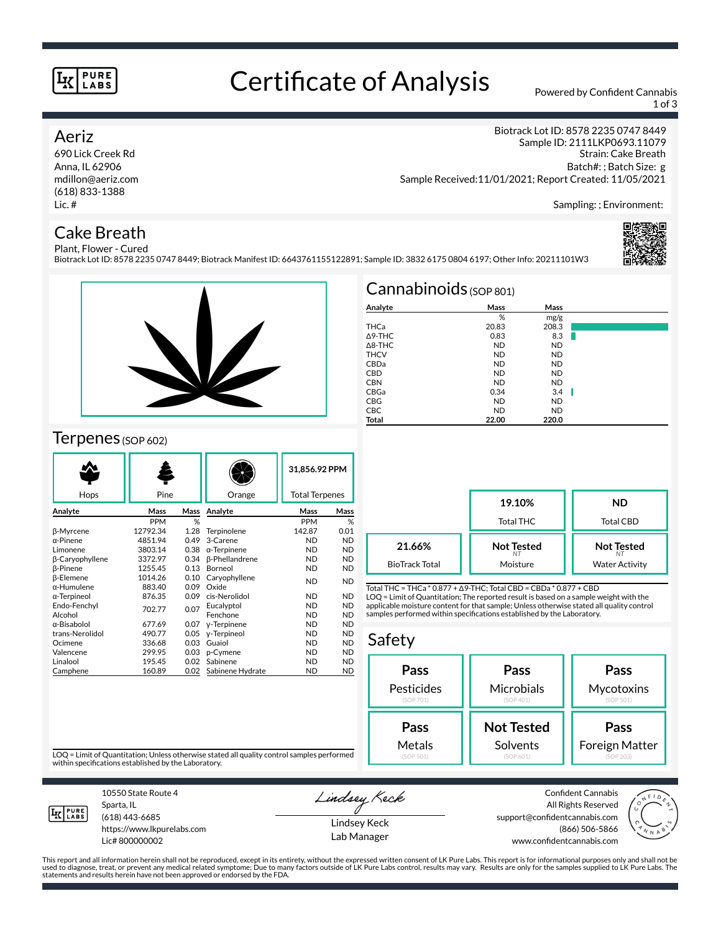#### **PURE** LABS

# Certificate of Analysis Powered by Confident Cannabis

1 of 3

Sampling: ; Environment:

Strain: Cake Breath Batch#: ; Batch Size: g

Biotrack Lot ID: 8578 2235 0747 8449 Sample ID: 2111LKP0693.11079

## Aeriz

690 Lick Creek Rd Anna, IL 62906 mdillon@aeriz.com (618) 833-1388 Lic. #

## Cake Breath

Plant, Flower - Cured Biotrack Lot ID: 8578 2235 0747 8449; Biotrack Manifest ID: 6643761155122891; Sample ID: 3832 6175 0804 6197; Other Info: 20211101W3





## Terpenes (SOP 602)

| Hops             | Pine       |      | Orange                | 31.856.92 PPM<br><b>Total Terpenes</b> |           |
|------------------|------------|------|-----------------------|----------------------------------------|-----------|
|                  |            |      |                       |                                        |           |
| Analyte          | Mass       | Mass | Analyte               | Mass                                   | Mass      |
|                  | <b>PPM</b> | %    |                       | <b>PPM</b>                             | %         |
| β-Myrcene        | 12792.34   | 1.28 | Terpinolene           | 142.87                                 | 0.01      |
| α-Pinene         | 4851.94    | 0.49 | 3-Carene              | <b>ND</b>                              | <b>ND</b> |
| Limonene         | 3803.14    | 0.38 | $\alpha$ -Terpinene   | <b>ND</b>                              | <b>ND</b> |
| β-Caryophyllene  | 3372.97    | 0.34 | <b>ß-Phellandrene</b> | <b>ND</b>                              | <b>ND</b> |
| <b>B-Pinene</b>  | 1255.45    | 0.13 | Borneol               | <b>ND</b>                              | <b>ND</b> |
| <b>B-Elemene</b> | 1014.26    | 0.10 | Caryophyllene         | <b>ND</b>                              | <b>ND</b> |
| α-Humulene       | 883.40     | 0.09 | Oxide                 |                                        |           |
| α-Terpineol      | 876.35     | 0.09 | cis-Nerolidol         | <b>ND</b>                              | <b>ND</b> |
| Endo-Fenchyl     | 702.77     | 0.07 | Eucalyptol            | <b>ND</b>                              | <b>ND</b> |
| Alcohol          |            |      | Fenchone              | <b>ND</b>                              | <b>ND</b> |
| α-Bisabolol      | 677.69     | 0.07 | y-Terpinene           | <b>ND</b>                              | <b>ND</b> |
| trans-Nerolidol  | 490.77     | 0.05 | y-Terpineol           | <b>ND</b>                              | <b>ND</b> |
| Ocimene          | 336.68     | 0.03 | Guaiol                | <b>ND</b>                              | <b>ND</b> |
| Valencene        | 299.95     | 0.03 | p-Cymene              | <b>ND</b>                              | <b>ND</b> |
| Linalool         | 195.45     | 0.02 | Sabinene              | <b>ND</b>                              | <b>ND</b> |
| Camphene         | 160.89     | 0.02 | Sabinene Hydrate      | <b>ND</b>                              | <b>ND</b> |

| Cannabinoids $(sOP 801)$ |           |           |   |  |  |  |  |
|--------------------------|-----------|-----------|---|--|--|--|--|
| Analyte                  | Mass      | Mass      |   |  |  |  |  |
|                          | %         | mg/g      |   |  |  |  |  |
| THCa                     | 20.83     | 208.3     |   |  |  |  |  |
| A9-THC                   | 0.83      | 8.3       |   |  |  |  |  |
| $\triangle$ 8-THC        | <b>ND</b> | <b>ND</b> |   |  |  |  |  |
| <b>THCV</b>              | <b>ND</b> | <b>ND</b> |   |  |  |  |  |
| CBDa                     | <b>ND</b> | <b>ND</b> |   |  |  |  |  |
| <b>CBD</b>               | <b>ND</b> | ND.       |   |  |  |  |  |
| <b>CBN</b>               | <b>ND</b> | ND.       |   |  |  |  |  |
| CBGa                     | 0.34      | 3.4       | Ш |  |  |  |  |
| <b>CBG</b>               | <b>ND</b> | <b>ND</b> |   |  |  |  |  |
| <b>CBC</b>               | <b>ND</b> | <b>ND</b> |   |  |  |  |  |
| <b>Total</b>             | 22.00     | 220.0     |   |  |  |  |  |

Sample Received:11/01/2021; Report Created: 11/05/2021

**19.10%** Total THC **ND** Total CBD **Not Tested** *NT* Moisture **Not Tested** *NT* Water Activity **21.66%** BioTrack Total

Total THC = THCa \* 0.877 + ∆9-THC; Total CBD = CBDa \* 0.877 + CBD LOQ = Limit of Quantitation; The reported result is based on a sample weight with the applicable moisture content for that sample; Unless otherwise stated all quality control samples performed within specifications established by the Laboratory.

### Safety



LOQ = Limit of Quantitation; Unless otherwise stated all quality control samples performed within specifications established by the Laboratory.



Sparta, IL (618) 443-6685

10550 State Route 4

https://www.lkpurelabs.com Lic# 800000002

Lindsey Keck

Lindsey Keck Lab Manager

Confident Cannabis All Rights Reserved support@confidentcannabis.com (866) 506-5866 www.confidentcannabis.com



This report and all information herein shall not be reproduced, except in its entirety, without the expressed written consent of LK Pure Labs. This report is for informational purposes only and shall not be<br>used to diagnos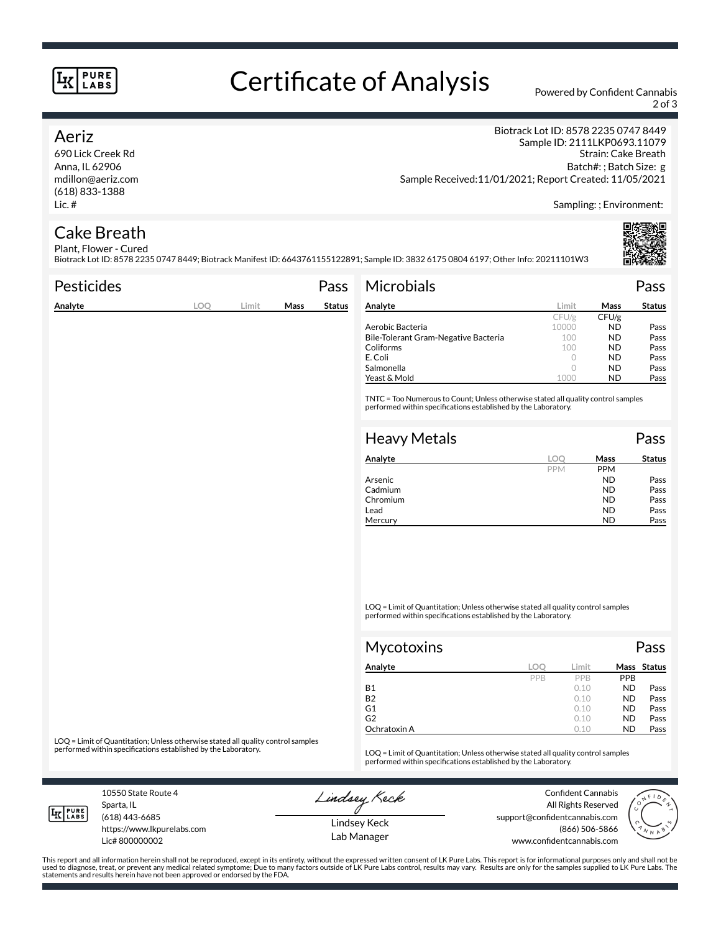#### **PURE** LABS

# Certificate of Analysis Powered by Confident Cannabis

2 of 3

### Aeriz

690 Lick Creek Rd Anna, IL 62906 mdillon@aeriz.com (618) 833-1388 Lic. #

Biotrack Lot ID: 8578 2235 0747 8449 Sample ID: 2111LKP0693.11079 Strain: Cake Breath Batch#: ; Batch Size: g Sample Received:11/01/2021; Report Created: 11/05/2021

Sampling: ; Environment:

#### Cake Breath Plant, Flower - Cured

Biotrack Lot ID: 8578 2235 0747 8449; Biotrack Manifest ID: 6643761155122891; Sample ID: 3832 6175 0804 6197; Other Info: 20211101W3

| <b>Pesticides</b> |     |       |      | Pass          | <b>Microbials</b>                                                                                                                                   |         |           | Pass          |
|-------------------|-----|-------|------|---------------|-----------------------------------------------------------------------------------------------------------------------------------------------------|---------|-----------|---------------|
| Analyte           | LOO | Limit | Mass | <b>Status</b> | Analyte                                                                                                                                             | Limit   | Mass      | <b>Status</b> |
|                   |     |       |      |               |                                                                                                                                                     | CFU/g   | CFU/g     |               |
|                   |     |       |      |               | Aerobic Bacteria                                                                                                                                    | 10000   | ND.       | Pass          |
|                   |     |       |      |               | Bile-Tolerant Gram-Negative Bacteria                                                                                                                | 100     | ND.       | Pass          |
|                   |     |       |      |               | Coliforms                                                                                                                                           | 100     | ND.       | Pass          |
|                   |     |       |      |               | E. Coli                                                                                                                                             | 0       | ND.       | Pass          |
|                   |     |       |      |               | Salmonella                                                                                                                                          | $\circ$ | ND.       | Pass          |
|                   |     |       |      |               | Yeast & Mold                                                                                                                                        | 1000    | <b>ND</b> | Pass          |
|                   |     |       |      |               | TNTC = Too Numerous to Count; Unless otherwise stated all quality control samples<br>performed within specifications established by the Laboratory. |         |           |               |
|                   |     |       |      |               | <b>Heavy Metals</b>                                                                                                                                 |         |           | Pass          |
|                   |     |       |      |               | Analyte                                                                                                                                             | LOO     | Mass      | <b>Status</b> |

| Analyte  | loc        | Mass       | Status |
|----------|------------|------------|--------|
|          | <b>PPM</b> | <b>PPM</b> |        |
| Arsenic  |            | <b>ND</b>  | Pass   |
| Cadmium  |            | <b>ND</b>  | Pass   |
| Chromium |            | <b>ND</b>  | Pass   |
| Lead     |            | <b>ND</b>  | Pass   |
| Mercury  |            | ND         | Pass   |

LOQ = Limit of Quantitation; Unless otherwise stated all quality control samples performed within specifications established by the Laboratory.

| <b>Mycotoxins</b> |     |       |            | Pass        |
|-------------------|-----|-------|------------|-------------|
| Analyte           | LOC | Limit |            | Mass Status |
|                   | PPB | PPB   | <b>PPB</b> |             |
| <b>B1</b>         |     | 0.10  | <b>ND</b>  | Pass        |
| <b>B2</b>         |     | 0.10  | <b>ND</b>  | Pass        |
| G1                |     | 0.10  | <b>ND</b>  | Pass        |
| G <sub>2</sub>    |     | 0.10  | <b>ND</b>  | Pass        |
| Ochratoxin A      |     | 0.10  | <b>ND</b>  | Pass        |

LOQ = Limit of Quantitation; Unless otherwise stated all quality control samples<br>performed within specifications established by the Laboratory.

LOQ = Limit of Quantitation; Unless otherwise stated all quality control samples performed within specifications established by the Laboratory.

10550 State Route 4 Sparta, IL

Lindsey Keck

Confident Cannabis All Rights Reserved support@confidentcannabis.com (866) 506-5866 www.confidentcannabis.com



**LK** LABS

(618) 443-6685 https://www.lkpurelabs.com

Lic# 800000002

Lindsey Keck Lab Manager

This report and all information herein shall not be reproduced, except in its entirety, without the expressed written consent of LK Pure Labs. This report is for informational purposes only and shall not be<br>used to diagnos